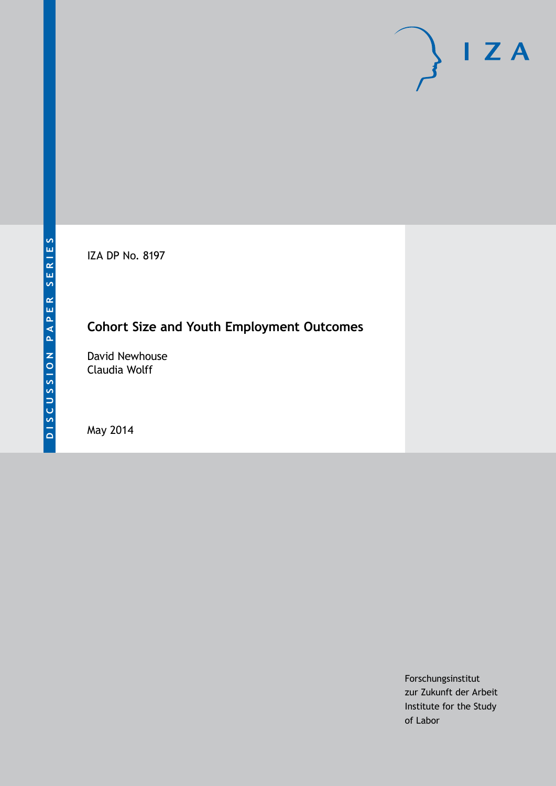IZA DP No. 8197

# **Cohort Size and Youth Employment Outcomes**

David Newhouse Claudia Wolff

May 2014

Forschungsinstitut zur Zukunft der Arbeit Institute for the Study of Labor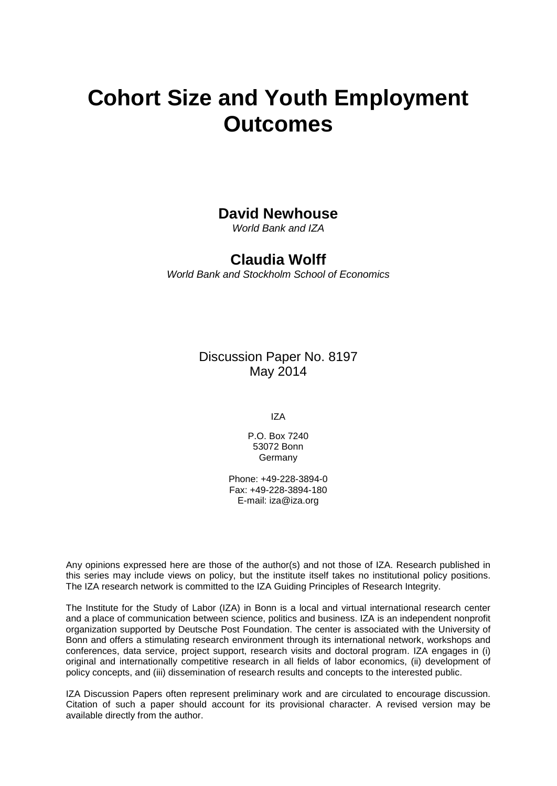# **Cohort Size and Youth Employment Outcomes**

### **David Newhouse**

*World Bank and IZA*

### **Claudia Wolff**

*World Bank and Stockholm School of Economics*

Discussion Paper No. 8197 May 2014

IZA

P.O. Box 7240 53072 Bonn Germany

Phone: +49-228-3894-0 Fax: +49-228-3894-180 E-mail: [iza@iza.org](mailto:iza@iza.org)

Any opinions expressed here are those of the author(s) and not those of IZA. Research published in this series may include views on policy, but the institute itself takes no institutional policy positions. The IZA research network is committed to the IZA Guiding Principles of Research Integrity.

The Institute for the Study of Labor (IZA) in Bonn is a local and virtual international research center and a place of communication between science, politics and business. IZA is an independent nonprofit organization supported by Deutsche Post Foundation. The center is associated with the University of Bonn and offers a stimulating research environment through its international network, workshops and conferences, data service, project support, research visits and doctoral program. IZA engages in (i) original and internationally competitive research in all fields of labor economics, (ii) development of policy concepts, and (iii) dissemination of research results and concepts to the interested public.

<span id="page-1-0"></span>IZA Discussion Papers often represent preliminary work and are circulated to encourage discussion. Citation of such a paper should account for its provisional character. A revised version may be available directly from the author.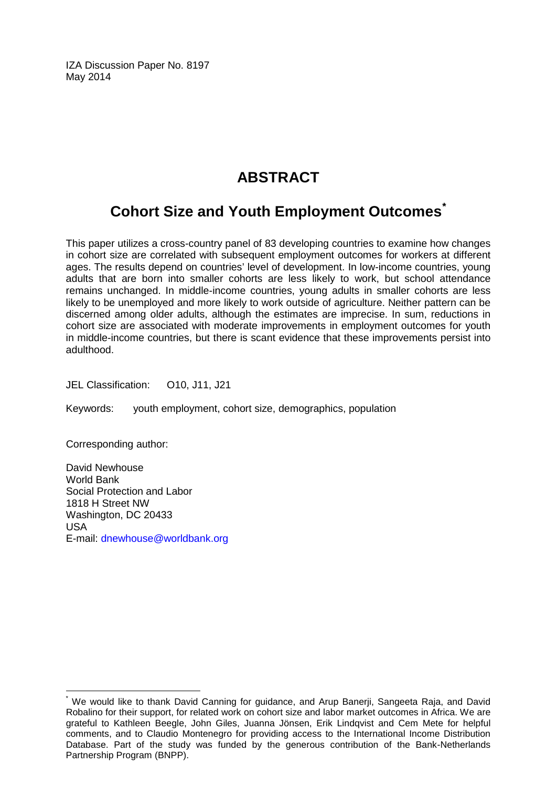IZA Discussion Paper No. 8197 May 2014

# **ABSTRACT**

# **Cohort Size and Youth Employment Outcomes[\\*](#page-1-0)**

This paper utilizes a cross-country panel of 83 developing countries to examine how changes in cohort size are correlated with subsequent employment outcomes for workers at different ages. The results depend on countries' level of development. In low-income countries, young adults that are born into smaller cohorts are less likely to work, but school attendance remains unchanged. In middle-income countries, young adults in smaller cohorts are less likely to be unemployed and more likely to work outside of agriculture. Neither pattern can be discerned among older adults, although the estimates are imprecise. In sum, reductions in cohort size are associated with moderate improvements in employment outcomes for youth in middle-income countries, but there is scant evidence that these improvements persist into adulthood.

JEL Classification: O10, J11, J21

Keywords: youth employment, cohort size, demographics, population

Corresponding author:

David Newhouse World Bank Social Protection and Labor 1818 H Street NW Washington, DC 20433 USA E-mail: [dnewhouse@worldbank.org](mailto:dnewhouse@worldbank.org)

We would like to thank David Canning for guidance, and Arup Banerii, Sangeeta Raja, and David Robalino for their support, for related work on cohort size and labor market outcomes in Africa. We are grateful to Kathleen Beegle, John Giles, Juanna Jönsen, Erik Lindqvist and Cem Mete for helpful comments, and to Claudio Montenegro for providing access to the International Income Distribution Database. Part of the study was funded by the generous contribution of the Bank-Netherlands Partnership Program (BNPP).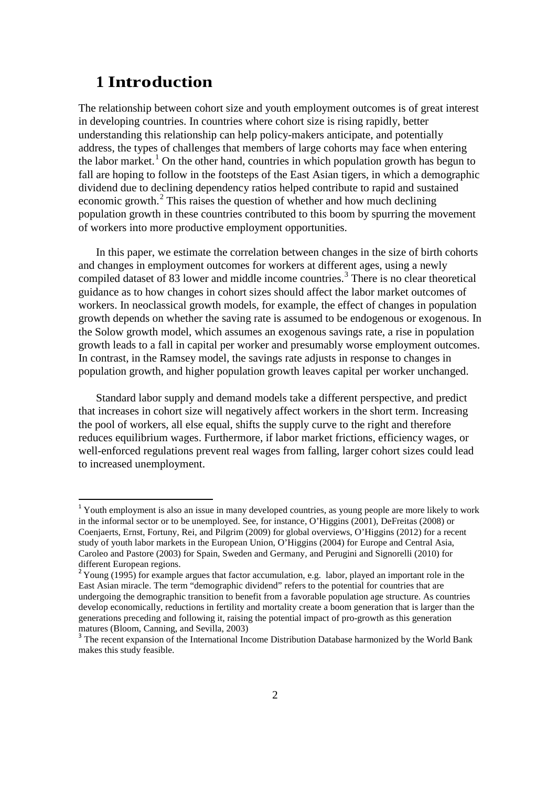## **1 Introduction**

The relationship between cohort size and youth employment outcomes is of great interest in developing countries. In countries where cohort size is rising rapidly, better understanding this relationship can help policy-makers anticipate, and potentially address, the types of challenges that members of large cohorts may face when entering the labor market.<sup>[1](#page-13-0)</sup> On the other hand, countries in which population growth has begun to fall are hoping to follow in the footsteps of the East Asian tigers, in which a demographic dividend due to declining dependency ratios helped contribute to rapid and sustained economic growth. $^{2}$  $^{2}$  $^{2}$  This raises the question of whether and how much declining population growth in these countries contributed to this boom by spurring the movement of workers into more productive employment opportunities.

In this paper, we estimate the correlation between changes in the size of birth cohorts and changes in employment outcomes for workers at different ages, using a newly compiled dataset of 8[3](#page-3-1) lower and middle income countries.<sup>3</sup> There is no clear theoretical guidance as to how changes in cohort sizes should affect the labor market outcomes of workers. In neoclassical growth models, for example, the effect of changes in population growth depends on whether the saving rate is assumed to be endogenous or exogenous. In the Solow growth model, which assumes an exogenous savings rate, a rise in population growth leads to a fall in capital per worker and presumably worse employment outcomes. In contrast, in the Ramsey model, the savings rate adjusts in response to changes in population growth, and higher population growth leaves capital per worker unchanged.

Standard labor supply and demand models take a different perspective, and predict that increases in cohort size will negatively affect workers in the short term. Increasing the pool of workers, all else equal, shifts the supply curve to the right and therefore reduces equilibrium wages. Furthermore, if labor market frictions, efficiency wages, or well-enforced regulations prevent real wages from falling, larger cohort sizes could lead to increased unemployment.

<sup>&</sup>lt;sup>1</sup> Youth employment is also an issue in many developed countries, as young people are more likely to work in the informal sector or to be unemployed. See, for instance, O'Higgins (2001), DeFreitas (2008) or Coenjaerts, Ernst, Fortuny, Rei, and Pilgrim (2009) for global overviews, O'Higgins (2012) for a recent study of youth labor markets in the European Union, O'Higgins (2004) for Europe and Central Asia, Caroleo and Pastore (2003) for Spain, Sweden and Germany, and Perugini and Signorelli (2010) for different European regions.

<span id="page-3-0"></span> $2$  Young (1995) for example argues that factor accumulation, e.g. labor, played an important role in the East Asian miracle. The term "demographic dividend" refers to the potential for countries that are undergoing the demographic transition to benefit from a favorable population age structure. As countries develop economically, reductions in fertility and mortality create a boom generation that is larger than the generations preceding and following it, raising the potential impact of pro-growth as this generation matures (Bloom, Canning, and Sevilla, 2003)

<span id="page-3-2"></span><span id="page-3-1"></span> $3^3$  The recent expansion of the International Income Distribution Database harmonized by the World Bank makes this study feasible.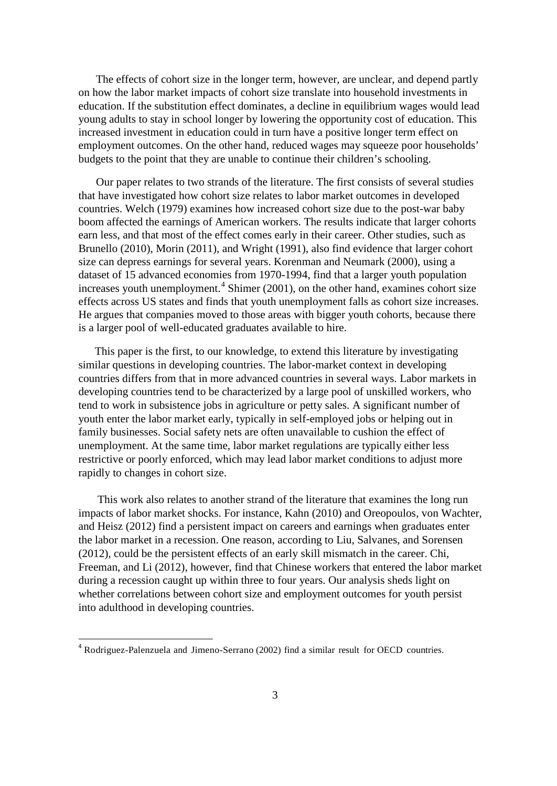The effects of cohort size in the longer term, however, are unclear, and depend partly on how the labor market impacts of cohort size translate into household investments in education. If the substitution effect dominates, a decline in equilibrium wages would lead young adults to stay in school longer by lowering the opportunity cost of education. This increased investment in education could in turn have a positive longer term effect on employment outcomes. On the other hand, reduced wages may squeeze poor households' budgets to the point that they are unable to continue their children's schooling.

Our paper relates to two strands of the literature. The first consists of several studies that have investigated how cohort size relates to labor market outcomes in developed countries. Welch (1979) examines how increased cohort size due to the post-war baby boom affected the earnings of American workers. The results indicate that larger cohorts earn less, and that most of the effect comes early in their career. Other studies, such as Brunello (2010), Morin (2011), and Wright (1991), also find evidence that larger cohort size can depress earnings for several years. Korenman and Neumark (2000), using a dataset of 15 advanced economies from 1970-1994, find that a larger youth population increases youth unemployment.<sup>[4](#page-3-2)</sup> Shimer (2001), on the other hand, examines cohort size effects across US states and finds that youth unemployment falls as cohort size increases. He argues that companies moved to those areas with bigger youth cohorts, because there is a larger pool of well-educated graduates available to hire.

This paper is the first, to our knowledge, to extend this literature by investigating similar questions in developing countries. The labor-market context in developing countries differs from that in more advanced countries in several ways. Labor markets in developing countries tend to be characterized by a large pool of unskilled workers, who tend to work in subsistence jobs in agriculture or petty sales. A significant number of youth enter the labor market early, typically in self-employed jobs or helping out in family businesses. Social safety nets are often unavailable to cushion the effect of unemployment. At the same time, labor market regulations are typically either less restrictive or poorly enforced, which may lead labor market conditions to adjust more rapidly to changes in cohort size.

This work also relates to another strand of the literature that examines the long run impacts of labor market shocks. For instance, Kahn (2010) and Oreopoulos, von Wachter, and Heisz (2012) find a persistent impact on careers and earnings when graduates enter the labor market in a recession. One reason, according to Liu, Salvanes, and Sorensen (2012), could be the persistent effects of an early skill mismatch in the career. Chi, Freeman, and Li (2012), however, find that Chinese workers that entered the labor market during a recession caught up within three to four years. Our analysis sheds light on whether correlations between cohort size and employment outcomes for youth persist into adulthood in developing countries.

<span id="page-4-0"></span> <sup>4</sup> Rodriguez-Palenzuela and Jimeno-Serrano (2002) find <sup>a</sup> similar result for OECD countries.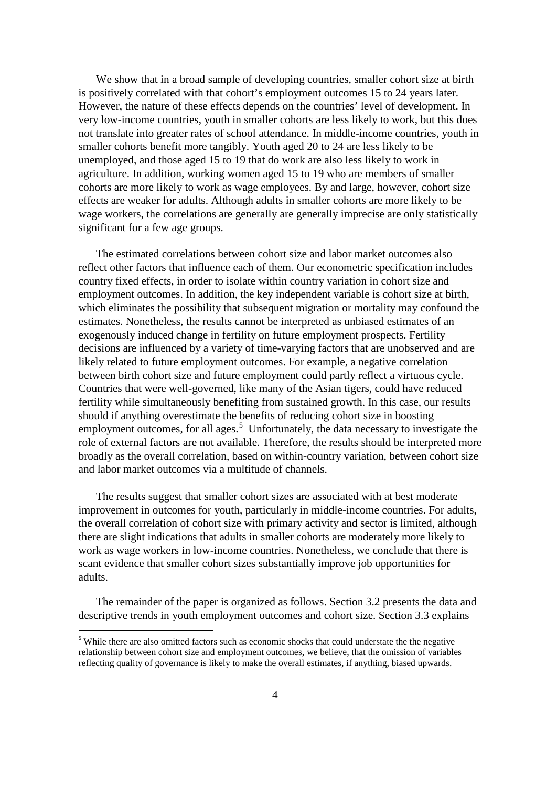We show that in a broad sample of developing countries, smaller cohort size at birth is positively correlated with that cohort's employment outcomes 15 to 24 years later. However, the nature of these effects depends on the countries' level of development. In very low-income countries, youth in smaller cohorts are less likely to work, but this does not translate into greater rates of school attendance. In middle-income countries, youth in smaller cohorts benefit more tangibly. Youth aged 20 to 24 are less likely to be unemployed, and those aged 15 to 19 that do work are also less likely to work in agriculture. In addition, working women aged 15 to 19 who are members of smaller cohorts are more likely to work as wage employees. By and large, however, cohort size effects are weaker for adults. Although adults in smaller cohorts are more likely to be wage workers, the correlations are generally are generally imprecise are only statistically significant for a few age groups.

The estimated correlations between cohort size and labor market outcomes also reflect other factors that influence each of them. Our econometric specification includes country fixed effects, in order to isolate within country variation in cohort size and employment outcomes. In addition, the key independent variable is cohort size at birth, which eliminates the possibility that subsequent migration or mortality may confound the estimates. Nonetheless, the results cannot be interpreted as unbiased estimates of an exogenously induced change in fertility on future employment prospects. Fertility decisions are influenced by a variety of time-varying factors that are unobserved and are likely related to future employment outcomes. For example, a negative correlation between birth cohort size and future employment could partly reflect a virtuous cycle. Countries that were well-governed, like many of the Asian tigers, could have reduced fertility while simultaneously benefiting from sustained growth. In this case, our results should if anything overestimate the benefits of reducing cohort size in boosting employment outcomes, for all ages.<sup>[5](#page-4-0)</sup> Unfortunately, the data necessary to investigate the role of external factors are not available. Therefore, the results should be interpreted more broadly as the overall correlation, based on within-country variation, between cohort size and labor market outcomes via a multitude of channels.

The results suggest that smaller cohort sizes are associated with at best moderate improvement in outcomes for youth, particularly in middle-income countries. For adults, the overall correlation of cohort size with primary activity and sector is limited, although there are slight indications that adults in smaller cohorts are moderately more likely to work as wage workers in low-income countries. Nonetheless, we conclude that there is scant evidence that smaller cohort sizes substantially improve job opportunities for adults.

The remainder of the paper is organized as follows. Section 3.2 presents the data and descriptive trends in youth employment outcomes and cohort size. Section 3.3 explains

<span id="page-5-0"></span><sup>&</sup>lt;sup>5</sup> While there are also omitted factors such as economic shocks that could understate the the negative relationship between cohort size and employment outcomes, we believe, that the omission of variables reflecting quality of governance is likely to make the overall estimates, if anything, biased upwards.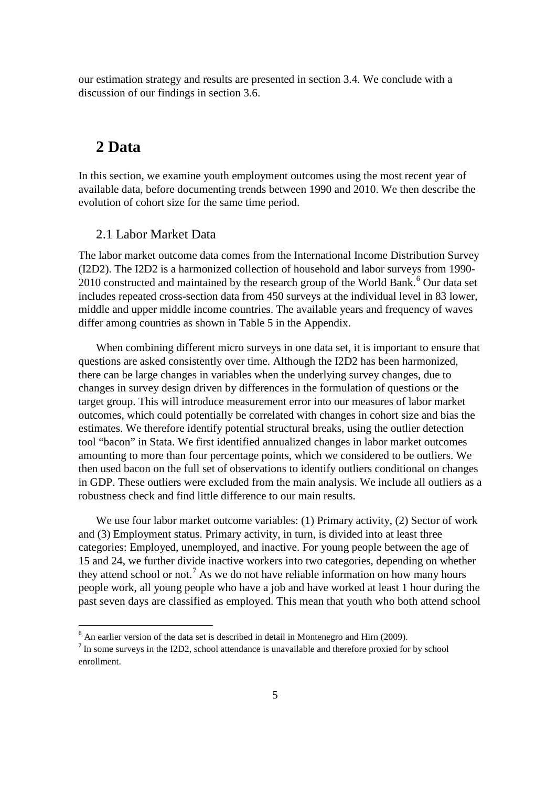our estimation strategy and results are presented in section 3.4. We conclude with a discussion of our findings in section 3.6.

## **2 Data**

In this section, we examine youth employment outcomes using the most recent year of available data, before documenting trends between 1990 and 2010. We then describe the evolution of cohort size for the same time period.

#### 2.1 Labor Market Data

The labor market outcome data comes from the International Income Distribution Survey (I2D2). The I2D2 is a harmonized collection of household and labor surveys from 1990- 2010 constructed and maintained by the research group of the World Bank.<sup>[6](#page-5-0)</sup> Our data set includes repeated cross-section data from 450 surveys at the individual level in 83 lower, middle and upper middle income countries. The available years and frequency of waves differ among countries as shown in Table 5 in the Appendix.

When combining different micro surveys in one data set, it is important to ensure that questions are asked consistently over time. Although the I2D2 has been harmonized, there can be large changes in variables when the underlying survey changes, due to changes in survey design driven by differences in the formulation of questions or the target group. This will introduce measurement error into our measures of labor market outcomes, which could potentially be correlated with changes in cohort size and bias the estimates. We therefore identify potential structural breaks, using the outlier detection tool "bacon" in Stata. We first identified annualized changes in labor market outcomes amounting to more than four percentage points, which we considered to be outliers. We then used bacon on the full set of observations to identify outliers conditional on changes in GDP. These outliers were excluded from the main analysis. We include all outliers as a robustness check and find little difference to our main results.

We use four labor market outcome variables: (1) Primary activity, (2) Sector of work and (3) Employment status. Primary activity, in turn, is divided into at least three categories: Employed, unemployed, and inactive. For young people between the age of 15 and 24, we further divide inactive workers into two categories, depending on whether they attend school or not.<sup>[7](#page-6-0)</sup> As we do not have reliable information on how many hours people work, all young people who have a job and have worked at least 1 hour during the past seven days are classified as employed. This mean that youth who both attend school

<sup>&</sup>lt;sup>6</sup> An earlier version of the data set is described in detail in Montenegro and Hirn (2009).

<span id="page-6-1"></span><span id="page-6-0"></span><sup>&</sup>lt;sup>7</sup> In some surveys in the I2D2, school attendance is unavailable and therefore proxied for by school enrollment.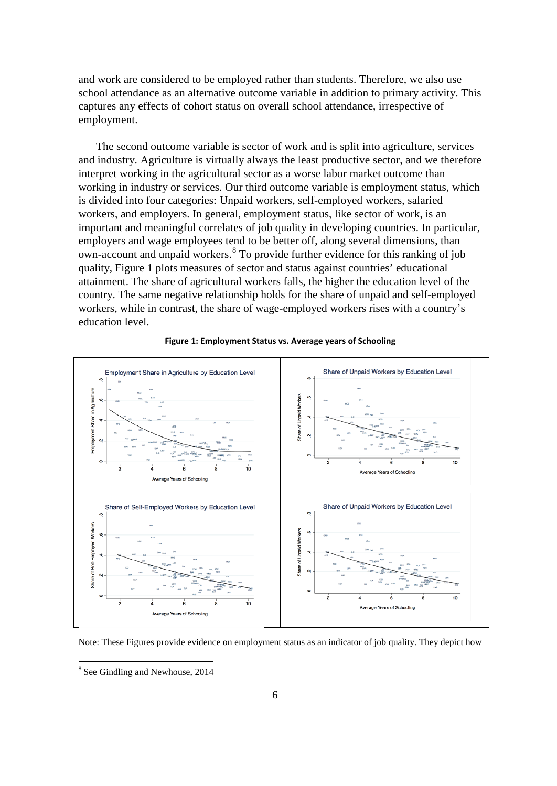and work are considered to be employed rather than students. Therefore, we also use school attendance as an alternative outcome variable in addition to primary activity. This captures any effects of cohort status on overall school attendance, irrespective of employment.

The second outcome variable is sector of work and is split into agriculture, services and industry. Agriculture is virtually always the least productive sector, and we therefore interpret working in the agricultural sector as a worse labor market outcome than working in industry or services. Our third outcome variable is employment status, which is divided into four categories: Unpaid workers, self-employed workers, salaried workers, and employers. In general, employment status, like sector of work, is an important and meaningful correlates of job quality in developing countries. In particular, employers and wage employees tend to be better off, along several dimensions, than own-account and unpaid workers.[8](#page-6-1) To provide further evidence for this ranking of job quality, Figure 1 plots measures of sector and status against countries' educational attainment. The share of agricultural workers falls, the higher the education level of the country. The same negative relationship holds for the share of unpaid and self-employed workers, while in contrast, the share of wage-employed workers rises with a country's education level.



#### **Figure 1: Employment Status vs. Average years of Schooling**

<span id="page-7-0"></span>Note: These Figures provide evidence on employment status as an indicator of job quality. They depict how

 <sup>8</sup> See Gindling and Newhouse, 2014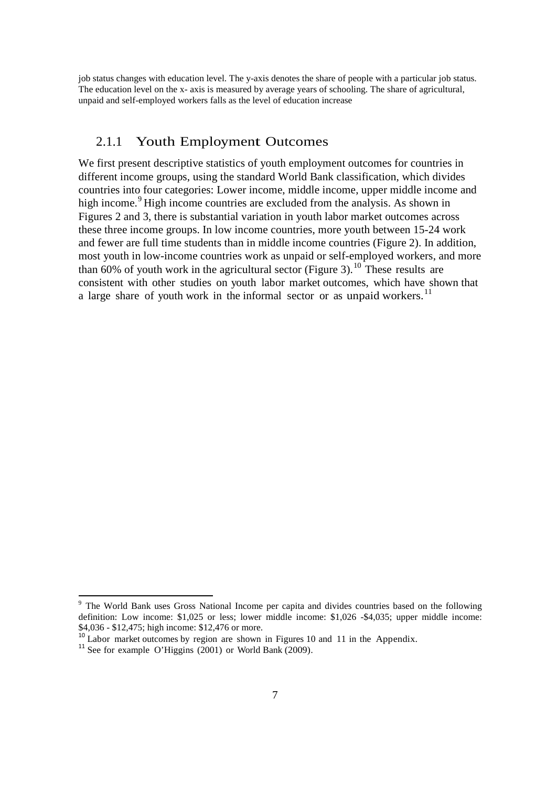job status changes with education level. The y-axis denotes the share of people with a particular job status. The education level on the x- axis is measured by average years of schooling. The share of agricultural, unpaid and self-employed workers falls as the level of education increase

### 2.1.1 Youth Employment Outcomes

We first present descriptive statistics of youth employment outcomes for countries in different income groups, using the standard World Bank classification, which divides countries into four categories: Lower income, middle income, upper middle income and high income.<sup>[9](#page-7-0)</sup> High income countries are excluded from the analysis. As shown in Figures 2 and 3, there is substantial variation in youth labor market outcomes across these three income groups. In low income countries, more youth between 15-24 work and fewer are full time students than in middle income countries (Figure 2). In addition, most youth in low-income countries work as unpaid or self-employed workers, and more than 60% of youth work in the agricultural sector (Figure 3).<sup>[10](#page-8-0)</sup> These results are consistent with other studies on youth labor market outcomes, which have shown that a large share of youth work in the informal sector or as unpaid workers.<sup>[11](#page-8-1)</sup>

<sup>&</sup>lt;sup>9</sup> The World Bank uses Gross National Income per capita and divides countries based on the following definition: Low income: \$1,025 or less; lower middle income: \$1,026 -\$4,035; upper middle income: \$4,036 - \$12,475; high income: \$12,476 or more.

<span id="page-8-0"></span><sup>&</sup>lt;sup>10</sup> Labor market outcomes by region are shown in Figures 10 and 11 in the Appendix.<br><sup>11</sup> See for example O'Higgins (2001) or World Bank (2009).

<span id="page-8-1"></span>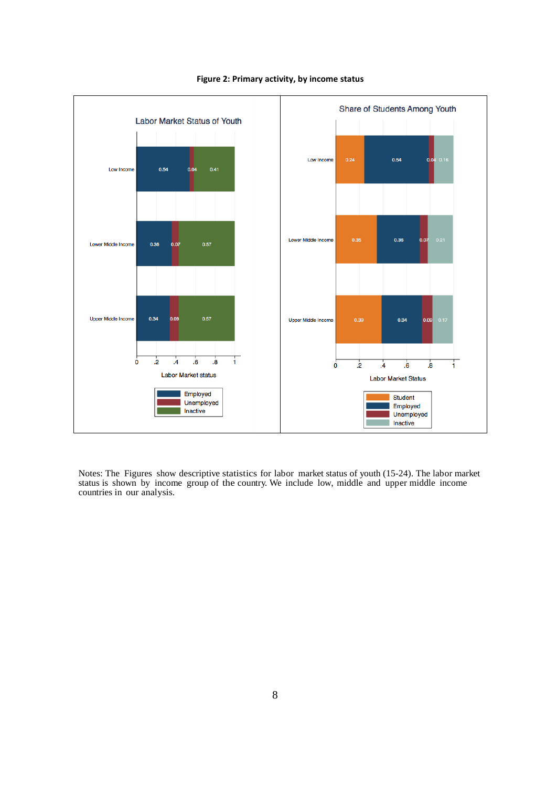

#### **Figure 2: Primary activity, by income status**

Notes: The Figures show descriptive statistics for labor market status of youth (15-24). The labor market status is shown by income group of the country. We include low, middle and upper middle income countries in our analysis.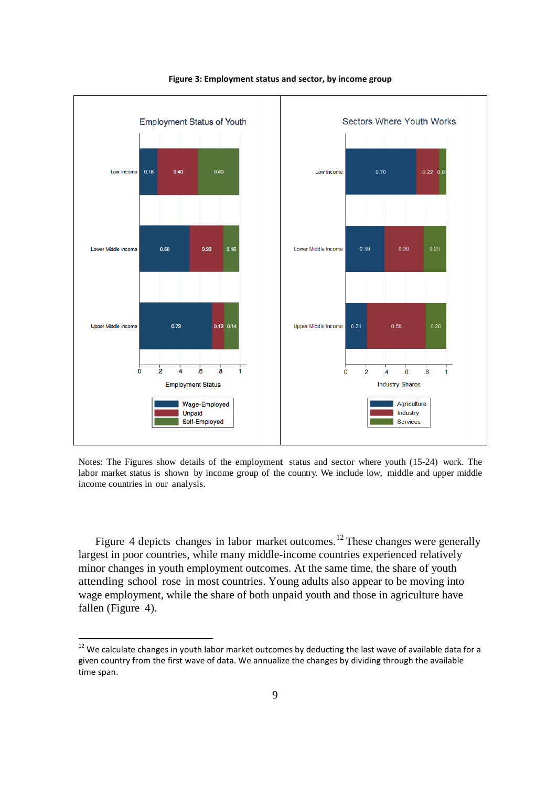

**Figure 3: Employment status and sector, by income group**

Notes: The Figures show details of the employment status and sector where youth (15-24) work. The labor market status is shown by income group of the country. We include low, middle and upper middle income countries in our analysis.

Figure 4 depicts changes in labor market outcomes.<sup>[12](#page-8-1)</sup> These changes were generally largest in poor countries, while many middle-income countries experienced relatively minor changes in youth employment outcomes. At the same time, the share of youth attending school rose in most countries. Young adults also appear to be moving into wage employment, while the share of both unpaid youth and those in agriculture have fallen (Figure 4).

<span id="page-10-0"></span><sup>&</sup>lt;sup>12</sup> We calculate changes in youth labor market outcomes by deducting the last wave of available data for a given country from the first wave of data. We annualize the changes by dividing through the available time span.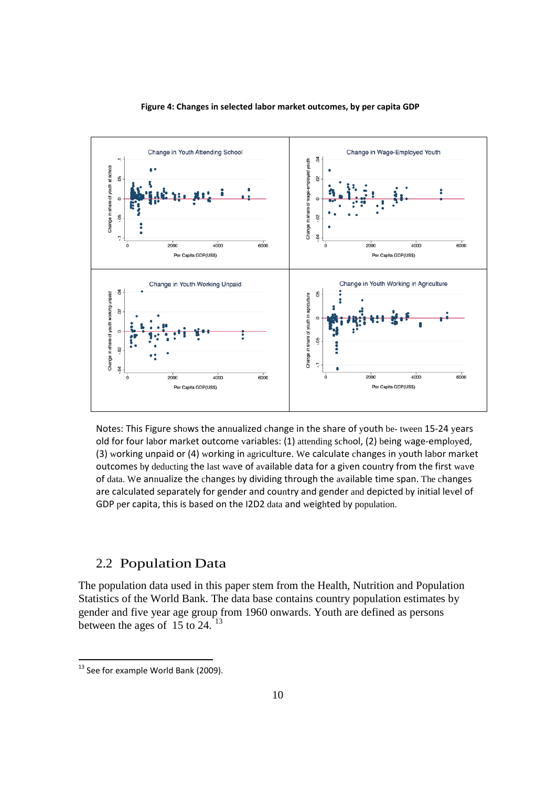

#### **Figure 4: Changes in selected labor market outcomes, by per capita GDP**

Notes: This Figure shows the annualized change in the share of youth be- tween 15-24 years old for four labor market outcome variables: (1) attending school, (2) being wage-employed, (3) working unpaid or (4) working in agriculture. We calculate changes in youth labor market outcomes by deducting the last wave of available data for a given country from the first wave of data. We annualize the changes by dividing through the available time span. The changes are calculated separately for gender and country and gender and depicted by initial level of GDP per capita, this is based on the I2D2 data and weighted by population.

#### 2.2 Population Data

The population data used in this paper stem from the Health, Nutrition and Population Statistics of the World Bank. The data base contains country population estimates by gender and five year age group from 1960 onwards. Youth are defined as persons between the ages of  $15$  to 24. <sup>[13](#page-10-0)</sup>

<span id="page-11-0"></span><sup>&</sup>lt;sup>13</sup> See for example World Bank (2009).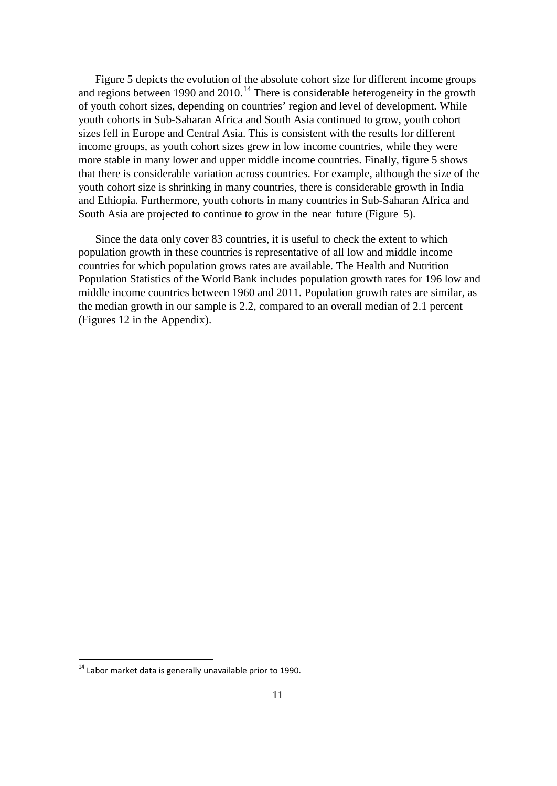Figure 5 depicts the evolution of the absolute cohort size for different income groups and regions between 1990 and 2010.<sup>[14](#page-11-0)</sup> There is considerable heterogeneity in the growth of youth cohort sizes, depending on countries' region and level of development. While youth cohorts in Sub-Saharan Africa and South Asia continued to grow, youth cohort sizes fell in Europe and Central Asia. This is consistent with the results for different income groups, as youth cohort sizes grew in low income countries, while they were more stable in many lower and upper middle income countries. Finally, figure 5 shows that there is considerable variation across countries. For example, although the size of the youth cohort size is shrinking in many countries, there is considerable growth in India and Ethiopia. Furthermore, youth cohorts in many countries in Sub-Saharan Africa and South Asia are projected to continue to grow in the near future (Figure 5).

Since the data only cover 83 countries, it is useful to check the extent to which population growth in these countries is representative of all low and middle income countries for which population grows rates are available. The Health and Nutrition Population Statistics of the World Bank includes population growth rates for 196 low and middle income countries between 1960 and 2011. Population growth rates are similar, as the median growth in our sample is 2.2, compared to an overall median of 2.1 percent (Figures 12 in the Appendix).

<span id="page-12-0"></span> $14$  Labor market data is generally unavailable prior to 1990.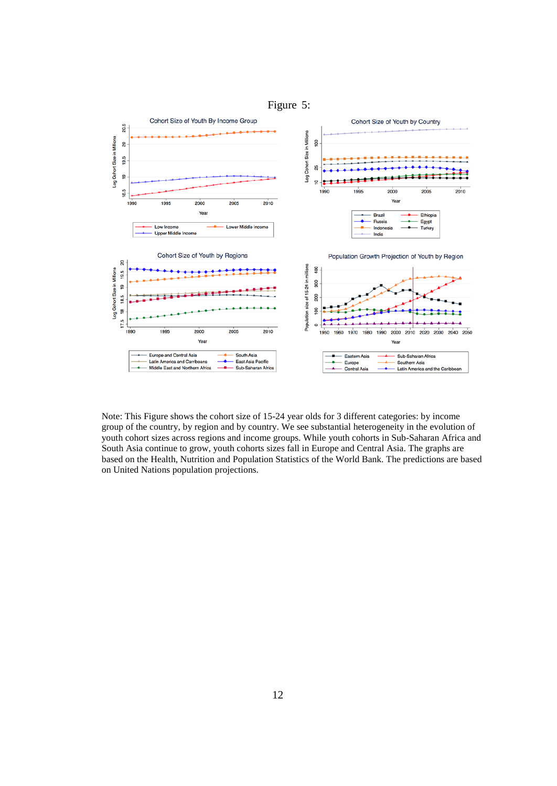

<span id="page-13-0"></span>Note: This Figure shows the cohort size of 15-24 year olds for 3 different categories: by income group of the country, by region and by country. We see substantial heterogeneity in the evolution of youth cohort sizes across regions and income groups. While youth cohorts in Sub-Saharan Africa and South Asia continue to grow, youth cohorts sizes fall in Europe and Central Asia. The graphs are based on the Health, Nutrition and Population Statistics of the World Bank. The predictions are based on United Nations population projections.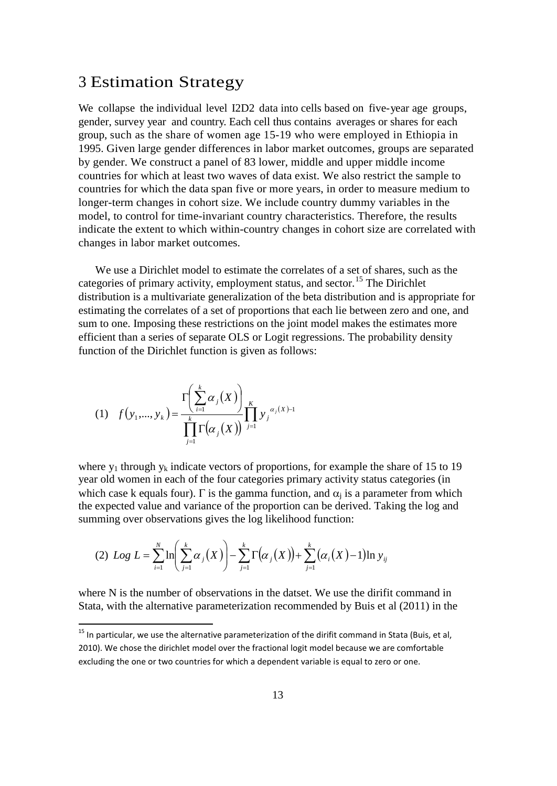### 3 Estimation Strategy

We collapse the individual level I2D2 data into cells based on five-year age groups, gender, survey year and country. Each cell thus contains averages or shares for each group, such as the share of women age 15-19 who were employed in Ethiopia in 1995. Given large gender differences in labor market outcomes, groups are separated by gender. We construct a panel of 83 lower, middle and upper middle income countries for which at least two waves of data exist. We also restrict the sample to countries for which the data span five or more years, in order to measure medium to longer-term changes in cohort size. We include country dummy variables in the model, to control for time-invariant country characteristics. Therefore, the results indicate the extent to which within-country changes in cohort size are correlated with changes in labor market outcomes.

We use a Dirichlet model to estimate the correlates of a set of shares, such as the categories of primary activity, employment status, and sector.<sup>[15](#page-12-0)</sup> The Dirichlet distribution is a multivariate generalization of the beta distribution and is appropriate for estimating the correlates of a set of proportions that each lie between zero and one, and sum to one. Imposing these restrictions on the joint model makes the estimates more efficient than a series of separate OLS or Logit regressions. The probability density function of the Dirichlet function is given as follows:

(1) 
$$
f(y_1,..., y_k) = \frac{\Gamma\left(\sum_{i=1}^k \alpha_j(X)\right)}{\prod_{j=1}^k \Gamma\left(\alpha_j(X)\right)} \prod_{j=1}^k y_j^{\alpha_j(X)-1}
$$

where  $y_1$  through  $y_k$  indicate vectors of proportions, for example the share of 15 to 19 year old women in each of the four categories primary activity status categories (in which case k equals four). Γ is the gamma function, and  $\alpha_i$  is a parameter from which the expected value and variance of the proportion can be derived. Taking the log and summing over observations gives the log likelihood function:

(2) Log 
$$
L = \sum_{i=1}^{N} \ln \left( \sum_{j=1}^{k} \alpha_j(X) \right) - \sum_{j=1}^{k} \Gamma \left( \alpha_j(X) \right) + \sum_{j=1}^{k} \left( \alpha_i(X) - 1 \right) \ln y_{ij}
$$

where N is the number of observations in the datset. We use the dirifit command in Stata, with the alternative parameterization recommended by Buis et al (2011) in the

<span id="page-14-0"></span><sup>&</sup>lt;sup>15</sup> In particular, we use the alternative parameterization of the dirifit command in Stata (Buis, et al, 2010). We chose the dirichlet model over the fractional logit model because we are comfortable excluding the one or two countries for which a dependent variable is equal to zero or one.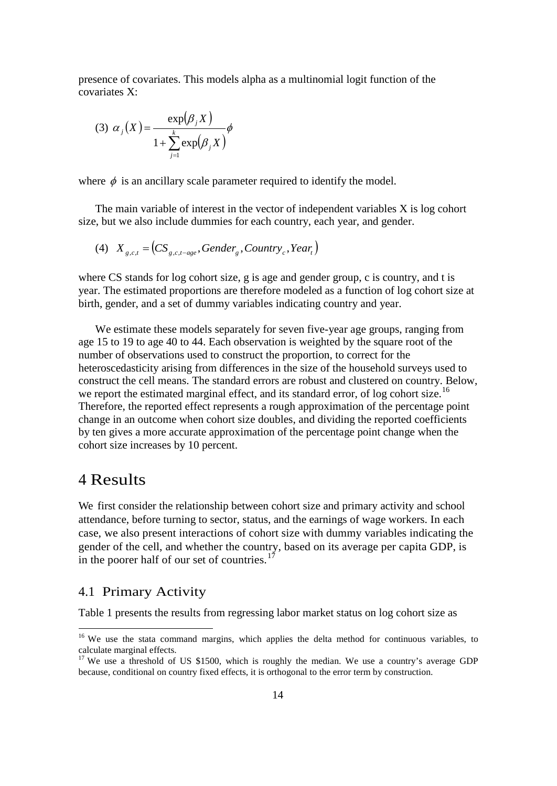presence of covariates. This models alpha as a multinomial logit function of the covariates X:

$$
(3) \ \alpha_j(X) = \frac{\exp(\beta_j X)}{1 + \sum_{j=1}^k \exp(\beta_j X)} \phi
$$

where  $\phi$  is an ancillary scale parameter required to identify the model.

The main variable of interest in the vector of independent variables X is log cohort size, but we also include dummies for each country, each year, and gender.

$$
(4) \quad X_{g,c,t} = \left( CS_{g,c,t-age}, \text{Gender}_g, \text{Country}_c, \text{Year}_t \right)
$$

where CS stands for log cohort size, g is age and gender group, c is country, and t is year. The estimated proportions are therefore modeled as a function of log cohort size at birth, gender, and a set of dummy variables indicating country and year.

We estimate these models separately for seven five-year age groups, ranging from age 15 to 19 to age 40 to 44. Each observation is weighted by the square root of the number of observations used to construct the proportion, to correct for the heteroscedasticity arising from differences in the size of the household surveys used to construct the cell means. The standard errors are robust and clustered on country. Below, we report the estimated marginal effect, and its standard error, of log cohort size.<sup>[16](#page-14-0)</sup> Therefore, the reported effect represents a rough approximation of the percentage point change in an outcome when cohort size doubles, and dividing the reported coefficients by ten gives a more accurate approximation of the percentage point change when the cohort size increases by 10 percent.

### 4 Results

**.** 

We first consider the relationship between cohort size and primary activity and school attendance, before turning to sector, status, and the earnings of wage workers. In each case, we also present interactions of cohort size with dummy variables indicating the gender of the cell, and whether the country, based on its average per capita GDP, is in the poorer half of our set of countries. $17$ 

### 4.1 Primary Activity

Table 1 presents the results from regressing labor market status on log cohort size as

<sup>&</sup>lt;sup>16</sup> We use the stata command margins, which applies the delta method for continuous variables, to calculate marginal effects.

<span id="page-15-1"></span><span id="page-15-0"></span><sup>&</sup>lt;sup>17</sup> We use a threshold of US \$1500, which is roughly the median. We use a country's average GDP because, conditional on country fixed effects, it is orthogonal to the error term by construction.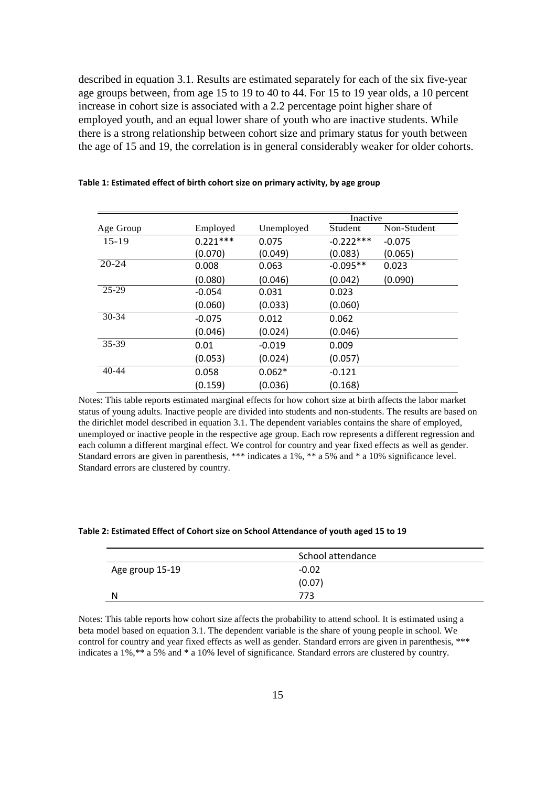described in equation 3.1. Results are estimated separately for each of the six five-year age groups between, from age 15 to 19 to 40 to 44. For 15 to 19 year olds, a 10 percent increase in cohort size is associated with a 2.2 percentage point higher share of employed youth, and an equal lower share of youth who are inactive students. While there is a strong relationship between cohort size and primary status for youth between the age of 15 and 19, the correlation is in general considerably weaker for older cohorts.

|           |            |            | Inactive    |             |  |
|-----------|------------|------------|-------------|-------------|--|
| Age Group | Employed   | Unemployed | Student     | Non-Student |  |
| $15 - 19$ | $0.221***$ | 0.075      | $-0.222***$ | $-0.075$    |  |
|           | (0.070)    | (0.049)    | (0.083)     | (0.065)     |  |
| $20 - 24$ | 0.008      | 0.063      | $-0.095**$  | 0.023       |  |
|           | (0.080)    | (0.046)    | (0.042)     | (0.090)     |  |
| $25 - 29$ | $-0.054$   | 0.031      | 0.023       |             |  |
|           | (0.060)    | (0.033)    | (0.060)     |             |  |
| $30 - 34$ | $-0.075$   | 0.012      | 0.062       |             |  |
|           | (0.046)    | (0.024)    | (0.046)     |             |  |
| 35-39     | 0.01       | $-0.019$   | 0.009       |             |  |
|           | (0.053)    | (0.024)    | (0.057)     |             |  |
| $40 - 44$ | 0.058      | $0.062*$   | $-0.121$    |             |  |
|           | (0.159)    | (0.036)    | (0.168)     |             |  |

**Table 1: Estimated effect of birth cohort size on primary activity, by age group**

Notes: This table reports estimated marginal effects for how cohort size at birth affects the labor market status of young adults. Inactive people are divided into students and non-students. The results are based on the dirichlet model described in equation 3.1. The dependent variables contains the share of employed, unemployed or inactive people in the respective age group. Each row represents a different regression and each column a different marginal effect. We control for country and year fixed effects as well as gender. Standard errors are given in parenthesis, \*\*\* indicates a 1%, \*\* a 5% and \* a 10% significance level. Standard errors are clustered by country.

#### **Table 2: Estimated Effect of Cohort size on School Attendance of youth aged 15 to 19**

|                 | School attendance |
|-----------------|-------------------|
| Age group 15-19 | $-0.02$           |
|                 | (0.07)            |
| N               | 773               |

Notes: This table reports how cohort size affects the probability to attend school. It is estimated using a beta model based on equation 3.1. The dependent variable is the share of young people in school. We control for country and year fixed effects as well as gender. Standard errors are given in parenthesis, \*\*\* indicates a 1%,\*\* a 5% and \* a 10% level of significance. Standard errors are clustered by country.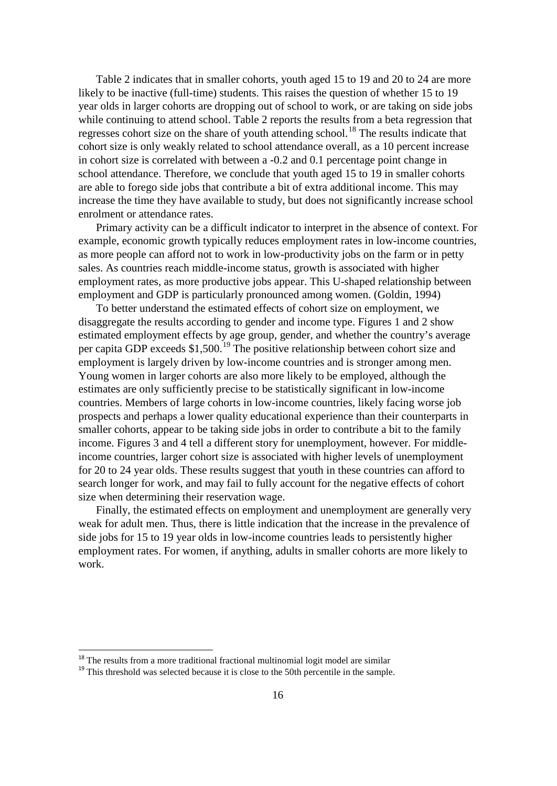Table 2 indicates that in smaller cohorts, youth aged 15 to 19 and 20 to 24 are more likely to be inactive (full-time) students. This raises the question of whether 15 to 19 year olds in larger cohorts are dropping out of school to work, or are taking on side jobs while continuing to attend school. Table 2 reports the results from a beta regression that regresses cohort size on the share of youth attending school.<sup>[18](#page-15-1)</sup> The results indicate that cohort size is only weakly related to school attendance overall, as a 10 percent increase in cohort size is correlated with between a -0.2 and 0.1 percentage point change in school attendance. Therefore, we conclude that youth aged 15 to 19 in smaller cohorts are able to forego side jobs that contribute a bit of extra additional income. This may increase the time they have available to study, but does not significantly increase school enrolment or attendance rates.

Primary activity can be a difficult indicator to interpret in the absence of context. For example, economic growth typically reduces employment rates in low-income countries, as more people can afford not to work in low-productivity jobs on the farm or in petty sales. As countries reach middle-income status, growth is associated with higher employment rates, as more productive jobs appear. This U-shaped relationship between employment and GDP is particularly pronounced among women. (Goldin, 1994)

To better understand the estimated effects of cohort size on employment, we disaggregate the results according to gender and income type. Figures 1 and [2](#page-18-0) show estimated employment effects by age group, gender, and whether the country's average per capita GDP exceeds \$1,500.<sup>[19](#page-17-0)</sup> The positive relationship between cohort size and employment is largely driven by low-income countries and is stronger among men. Young women in larger cohorts are also more likely to be employed, although the estimates are only sufficiently precise to be statistically significant in low-income countries. Members of large cohorts in low-income countries, likely facing worse job prospects and perhaps a lower quality educational experience than their counterparts in smaller cohorts, appear to be taking side jobs in order to contribute a bit to the family income. [Figures 3](#page-19-0) and [4](#page-19-1) tell a different story for unemployment, however. For middleincome countries, larger cohort size is associated with higher levels of unemployment for 20 to 24 year olds. These results suggest that youth in these countries can afford to search longer for work, and may fail to fully account for the negative effects of cohort size when determining their reservation wage.

Finally, the estimated effects on employment and unemployment are generally very weak for adult men. Thus, there is little indication that the increase in the prevalence of side jobs for 15 to 19 year olds in low-income countries leads to persistently higher employment rates. For women, if anything, adults in smaller cohorts are more likely to work.

<span id="page-17-1"></span><span id="page-17-0"></span><sup>&</sup>lt;sup>18</sup> The results from a more traditional fractional multinomial logit model are similar  $19$  This threshold was selected because it is close to the 50th percentile in the sample.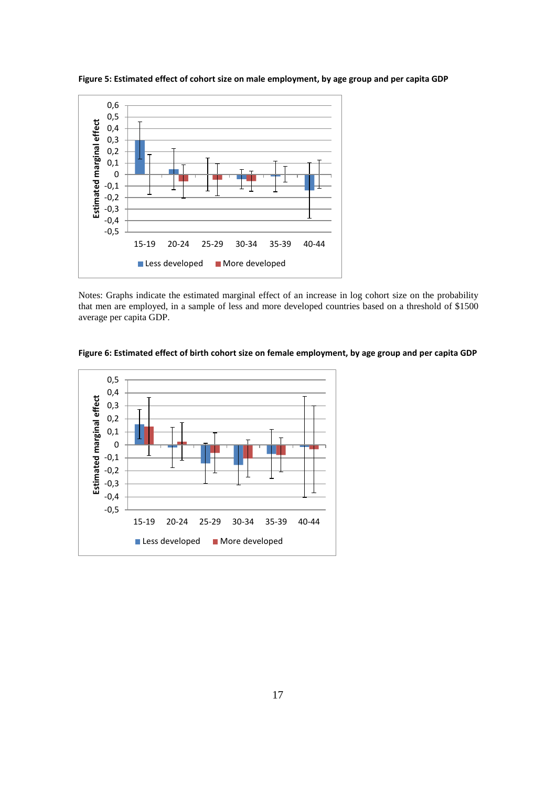

**Figure 5: Estimated effect of cohort size on male employment, by age group and per capita GDP** 

Notes: Graphs indicate the estimated marginal effect of an increase in log cohort size on the probability that men are employed, in a sample of less and more developed countries based on a threshold of \$1500 average per capita GDP.

<span id="page-18-0"></span>

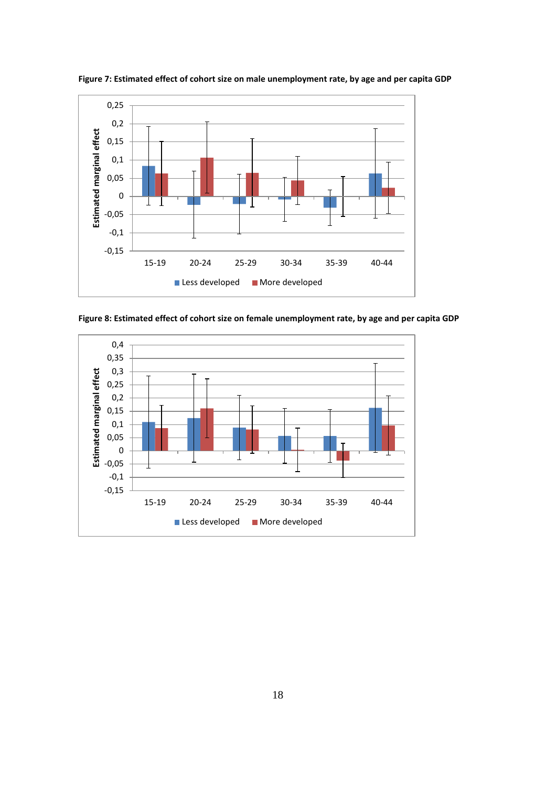

<span id="page-19-0"></span>**Figure 7: Estimated effect of cohort size on male unemployment rate, by age and per capita GDP** 

<span id="page-19-1"></span>**Figure 8: Estimated effect of cohort size on female unemployment rate, by age and per capita GDP**

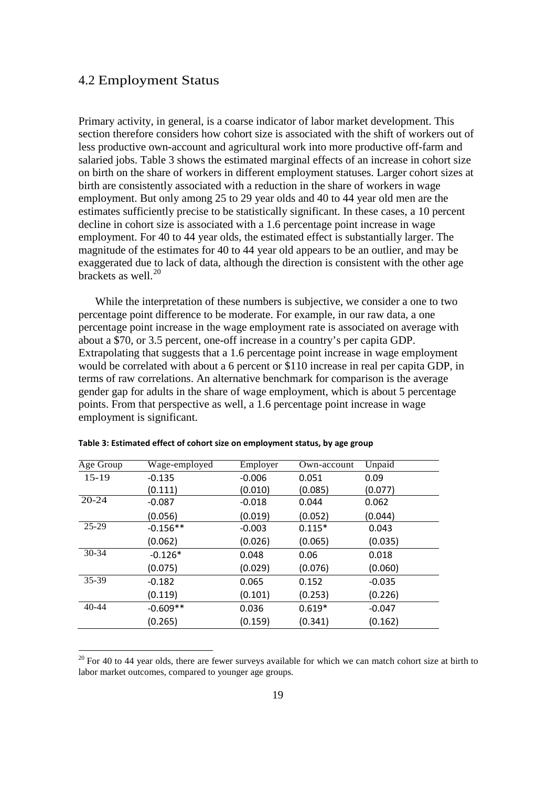### 4.2 Employment Status

**.** 

Primary activity, in general, is a coarse indicator of labor market development. This section therefore considers how cohort size is associated with the shift of workers out of less productive own-account and agricultural work into more productive off-farm and salaried jobs. [Table 3](#page-20-0) shows the estimated marginal effects of an increase in cohort size on birth on the share of workers in different employment statuses. Larger cohort sizes at birth are consistently associated with a reduction in the share of workers in wage employment. But only among 25 to 29 year olds and 40 to 44 year old men are the estimates sufficiently precise to be statistically significant. In these cases, a 10 percent decline in cohort size is associated with a 1.6 percentage point increase in wage employment. For 40 to 44 year olds, the estimated effect is substantially larger. The magnitude of the estimates for 40 to 44 year old appears to be an outlier, and may be exaggerated due to lack of data, although the direction is consistent with the other age brackets as well. $^{20}$  $^{20}$  $^{20}$ 

While the interpretation of these numbers is subjective, we consider a one to two percentage point difference to be moderate. For example, in our raw data, a one percentage point increase in the wage employment rate is associated on average with about a \$70, or 3.5 percent, one-off increase in a country's per capita GDP. Extrapolating that suggests that a 1.6 percentage point increase in wage employment would be correlated with about a 6 percent or \$110 increase in real per capita GDP, in terms of raw correlations. An alternative benchmark for comparison is the average gender gap for adults in the share of wage employment, which is about 5 percentage points. From that perspective as well, a 1.6 percentage point increase in wage employment is significant.

| Age Group | Wage-employed | Employer | Own-account | Unpaid   |
|-----------|---------------|----------|-------------|----------|
| $15-19$   | $-0.135$      | $-0.006$ | 0.051       | 0.09     |
|           | (0.111)       | (0.010)  | (0.085)     | (0.077)  |
| $20 - 24$ | $-0.087$      | $-0.018$ | 0.044       | 0.062    |
|           | (0.056)       | (0.019)  | (0.052)     | (0.044)  |
| $25-29$   | $-0.156**$    | $-0.003$ | $0.115*$    | 0.043    |
|           | (0.062)       | (0.026)  | (0.065)     | (0.035)  |
| $30 - 34$ | $-0.126*$     | 0.048    | 0.06        | 0.018    |
|           | (0.075)       | (0.029)  | (0.076)     | (0.060)  |
| 35-39     | $-0.182$      | 0.065    | 0.152       | $-0.035$ |
|           | (0.119)       | (0.101)  | (0.253)     | (0.226)  |
| $40 - 44$ | $-0.609**$    | 0.036    | $0.619*$    | $-0.047$ |
|           | (0.265)       | (0.159)  | (0.341)     | (0.162)  |

<span id="page-20-0"></span>**Table 3: Estimated effect of cohort size on employment status, by age group**

<span id="page-20-1"></span> $20$  For 40 to 44 year olds, there are fewer surveys available for which we can match cohort size at birth to labor market outcomes, compared to younger age groups.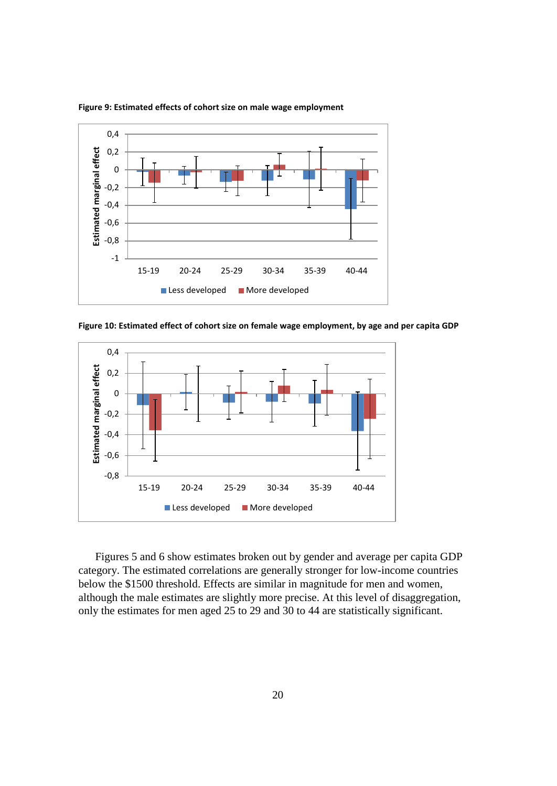

<span id="page-21-0"></span>**Figure 9: Estimated effects of cohort size on male wage employment**

<span id="page-21-1"></span>**Figure 10: Estimated effect of cohort size on female wage employment, by age and per capita GDP**



[Figures 5](#page-21-0) and [6](#page-21-1) show estimates broken out by gender and average per capita GDP category. The estimated correlations are generally stronger for low-income countries below the \$1500 threshold. Effects are similar in magnitude for men and women, although the male estimates are slightly more precise. At this level of disaggregation, only the estimates for men aged 25 to 29 and 30 to 44 are statistically significant.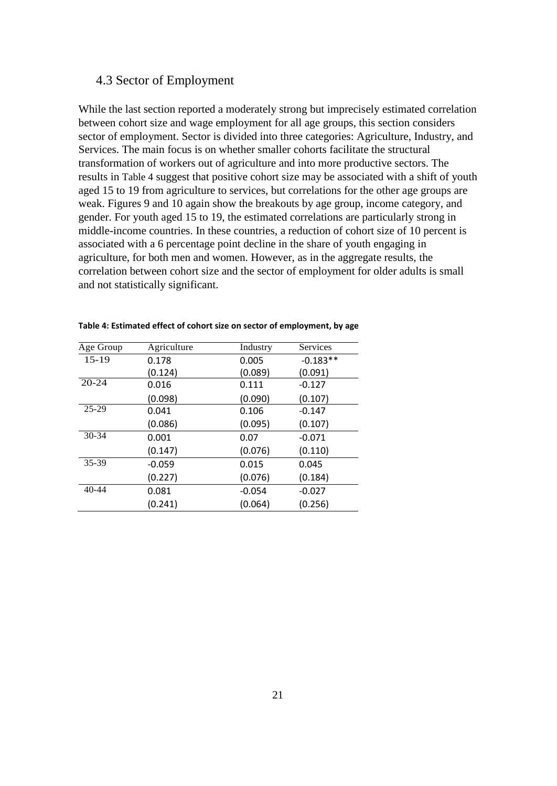### 4.3 Sector of Employment

While the last section reported a moderately strong but imprecisely estimated correlation between cohort size and wage employment for all age groups, this section considers sector of employment. Sector is divided into three categories: Agriculture, Industry, and Services. The main focus is on whether smaller cohorts facilitate the structural transformation of workers out of agriculture and into more productive sectors. The results in [Table 4](#page-22-0) suggest that positive cohort size may be associated with a shift of youth aged 15 to 19 from agriculture to services, but correlations for the other age groups are weak. [Figures 9](#page-23-0) and [10](#page-23-1) again show the breakouts by age group, income category, and gender. For youth aged 15 to 19, the estimated correlations are particularly strong in middle-income countries. In these countries, a reduction of cohort size of 10 percent is associated with a 6 percentage point decline in the share of youth engaging in agriculture, for both men and women. However, as in the aggregate results, the correlation between cohort size and the sector of employment for older adults is small and not statistically significant.

| Age Group | Agriculture | Industry | Services   |
|-----------|-------------|----------|------------|
| $15-19$   | 0.178       | 0.005    | $-0.183**$ |
|           | (0.124)     | (0.089)  | (0.091)    |
| $20 - 24$ | 0.016       | 0.111    | $-0.127$   |
|           | (0.098)     | (0.090)  | (0.107)    |
| $25 - 29$ | 0.041       | 0.106    | $-0.147$   |
|           | (0.086)     | (0.095)  | (0.107)    |
| $30 - 34$ | 0.001       | 0.07     | $-0.071$   |
|           | (0.147)     | (0.076)  | (0.110)    |
| 35-39     | $-0.059$    | 0.015    | 0.045      |
|           | (0.227)     | (0.076)  | (0.184)    |
| $40 - 44$ | 0.081       | $-0.054$ | $-0.027$   |
|           | (0.241)     | (0.064)  | (0.256)    |

#### <span id="page-22-0"></span>**Table 4: Estimated effect of cohort size on sector of employment, by age**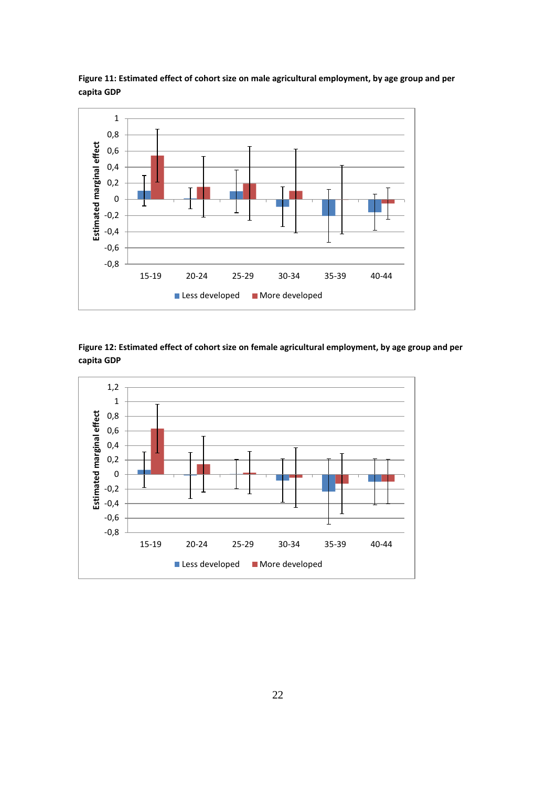

<span id="page-23-0"></span>**Figure 11: Estimated effect of cohort size on male agricultural employment, by age group and per capita GDP** 

<span id="page-23-1"></span>

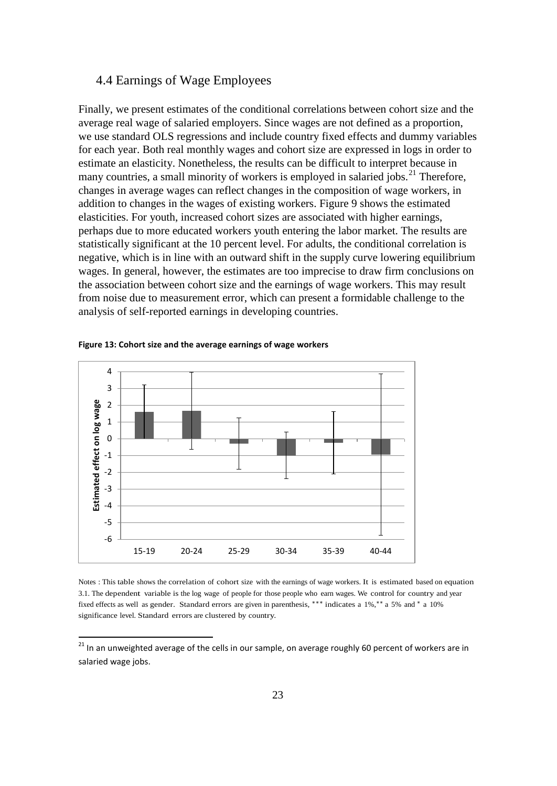### 4.4 Earnings of Wage Employees

Finally, we present estimates of the conditional correlations between cohort size and the average real wage of salaried employers. Since wages are not defined as a proportion, we use standard OLS regressions and include country fixed effects and dummy variables for each year. Both real monthly wages and cohort size are expressed in logs in order to estimate an elasticity. Nonetheless, the results can be difficult to interpret because in many countries, a small minority of workers is employed in salaried jobs.<sup>[21](#page-20-1)</sup> Therefore, changes in average wages can reflect changes in the composition of wage workers, in addition to changes in the wages of existing workers. [Figure 9](#page-24-0) shows the estimated elasticities. For youth, increased cohort sizes are associated with higher earnings, perhaps due to more educated workers youth entering the labor market. The results are statistically significant at the 10 percent level. For adults, the conditional correlation is negative, which is in line with an outward shift in the supply curve lowering equilibrium wages. In general, however, the estimates are too imprecise to draw firm conclusions on the association between cohort size and the earnings of wage workers. This may result from noise due to measurement error, which can present a formidable challenge to the analysis of self-reported earnings in developing countries.



<span id="page-24-0"></span>**Figure 13: Cohort size and the average earnings of wage workers** 

Notes : This table shows the correlation of cohort size with the earnings of wage workers. It is estimated based on equation 3.1. The dependent variable is the log wage of people for those people who earn wages. We control for country and year fixed effects as well as gender. Standard errors are given in parenthesis, ∗∗∗ indicates a 1%,∗∗ a 5% and <sup>∗</sup> a 10% significance level. Standard errors are clustered by country.

<sup>&</sup>lt;sup>21</sup> In an unweighted average of the cells in our sample, on average roughly 60 percent of workers are in salaried wage jobs.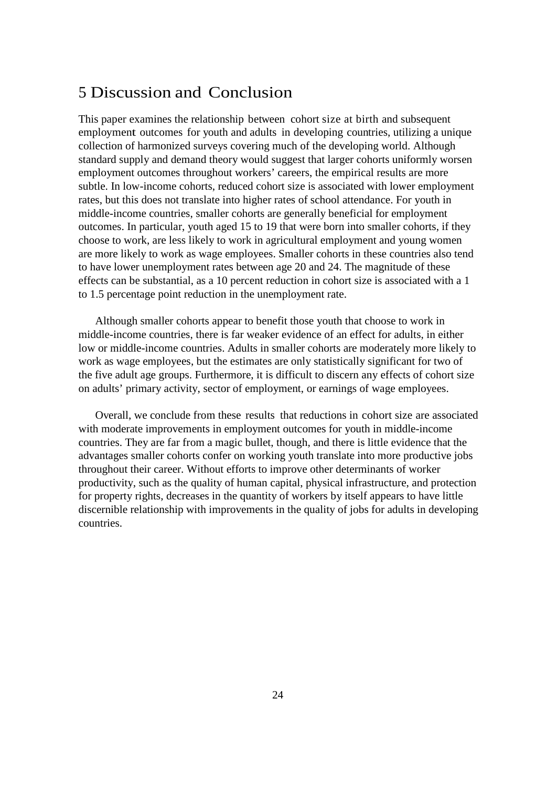### 5 Discussion and Conclusion

This paper examines the relationship between cohort size at birth and subsequent employment outcomes for youth and adults in developing countries, utilizing a unique collection of harmonized surveys covering much of the developing world. Although standard supply and demand theory would suggest that larger cohorts uniformly worsen employment outcomes throughout workers' careers, the empirical results are more subtle. In low-income cohorts, reduced cohort size is associated with lower employment rates, but this does not translate into higher rates of school attendance. For youth in middle-income countries, smaller cohorts are generally beneficial for employment outcomes. In particular, youth aged 15 to 19 that were born into smaller cohorts, if they choose to work, are less likely to work in agricultural employment and young women are more likely to work as wage employees. Smaller cohorts in these countries also tend to have lower unemployment rates between age 20 and 24. The magnitude of these effects can be substantial, as a 10 percent reduction in cohort size is associated with a 1 to 1.5 percentage point reduction in the unemployment rate.

Although smaller cohorts appear to benefit those youth that choose to work in middle-income countries, there is far weaker evidence of an effect for adults, in either low or middle-income countries. Adults in smaller cohorts are moderately more likely to work as wage employees, but the estimates are only statistically significant for two of the five adult age groups. Furthermore, it is difficult to discern any effects of cohort size on adults' primary activity, sector of employment, or earnings of wage employees.

Overall, we conclude from these results that reductions in cohort size are associated with moderate improvements in employment outcomes for youth in middle-income countries. They are far from a magic bullet, though, and there is little evidence that the advantages smaller cohorts confer on working youth translate into more productive jobs throughout their career. Without efforts to improve other determinants of worker productivity, such as the quality of human capital, physical infrastructure, and protection for property rights, decreases in the quantity of workers by itself appears to have little discernible relationship with improvements in the quality of jobs for adults in developing countries.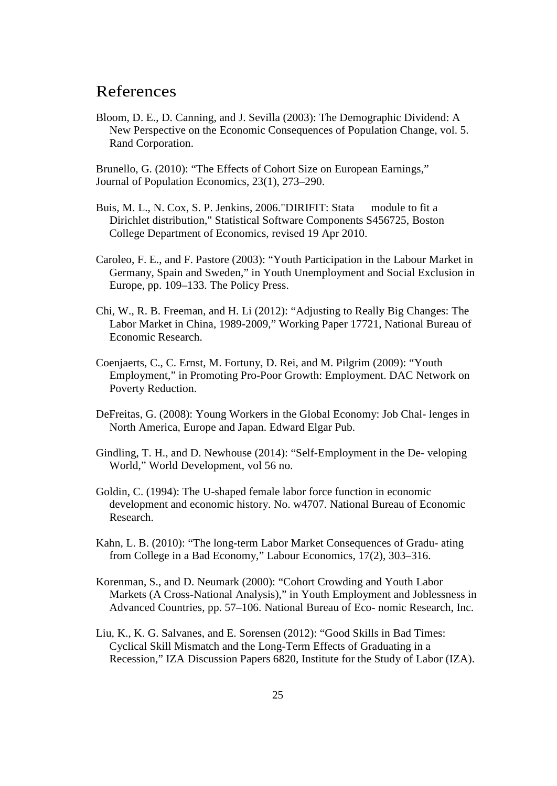### References

Bloom, D. E., D. Canning, and J. Sevilla (2003): The Demographic Dividend: A New Perspective on the Economic Consequences of Population Change, vol. 5. Rand Corporation.

Brunello, G. (2010): "The Effects of Cohort Size on European Earnings," Journal of Population Economics, 23(1), 273–290.

- Buis, M. L., N. Cox, S. P. Jenkins, 2006."DIRIFIT: Stata module to fit a Dirichlet distribution," Statistical Software Components S456725, Boston College Department of Economics, revised 19 Apr 2010.
- Caroleo, F. E., and F. Pastore (2003): "Youth Participation in the Labour Market in Germany, Spain and Sweden," in Youth Unemployment and Social Exclusion in Europe, pp. 109–133. The Policy Press.
- Chi, W., R. B. Freeman, and H. Li (2012): "Adjusting to Really Big Changes: The Labor Market in China, 1989-2009," Working Paper 17721, National Bureau of Economic Research.
- Coenjaerts, C., C. Ernst, M. Fortuny, D. Rei, and M. Pilgrim (2009): "Youth Employment," in Promoting Pro-Poor Growth: Employment. DAC Network on Poverty Reduction.
- DeFreitas, G. (2008): Young Workers in the Global Economy: Job Chal- lenges in North America, Europe and Japan. Edward Elgar Pub.
- Gindling, T. H., and D. Newhouse (2014): "Self-Employment in the De- veloping World," World Development, vol 56 no.
- Goldin, C. (1994): The U-shaped female labor force function in economic development and economic history. No. w4707. National Bureau of Economic Research.
- Kahn, L. B. (2010): "The long-term Labor Market Consequences of Gradu- ating from College in a Bad Economy," Labour Economics, 17(2), 303–316.
- Korenman, S., and D. Neumark (2000): "Cohort Crowding and Youth Labor Markets (A Cross-National Analysis)," in Youth Employment and Joblessness in Advanced Countries, pp. 57–106. National Bureau of Eco- nomic Research, Inc.
- Liu, K., K. G. Salvanes, and E. Sorensen (2012): "Good Skills in Bad Times: Cyclical Skill Mismatch and the Long-Term Effects of Graduating in a Recession," IZA Discussion Papers 6820, Institute for the Study of Labor (IZA).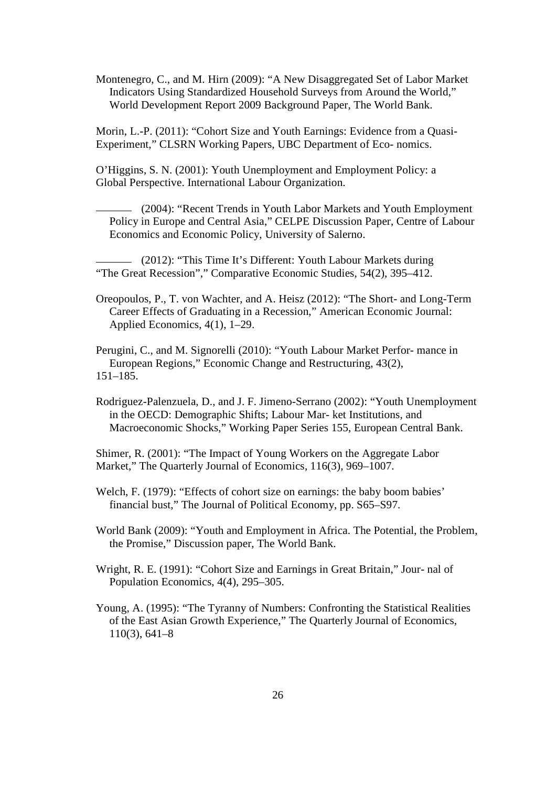Montenegro, C., and M. Hirn (2009): "A New Disaggregated Set of Labor Market Indicators Using Standardized Household Surveys from Around the World," World Development Report 2009 Background Paper, The World Bank.

Morin, L.-P. (2011): "Cohort Size and Youth Earnings: Evidence from a Quasi-Experiment," CLSRN Working Papers, UBC Department of Eco- nomics.

O'Higgins, S. N. (2001): Youth Unemployment and Employment Policy: a Global Perspective. International Labour Organization.

 (2004): "Recent Trends in Youth Labor Markets and Youth Employment Policy in Europe and Central Asia," CELPE Discussion Paper, Centre of Labour Economics and Economic Policy, University of Salerno.

 (2012): "This Time It's Different: Youth Labour Markets during "The Great Recession"," Comparative Economic Studies, 54(2), 395–412.

Oreopoulos, P., T. von Wachter, and A. Heisz (2012): "The Short- and Long-Term Career Effects of Graduating in a Recession," American Economic Journal: Applied Economics, 4(1), 1–29.

Perugini, C., and M. Signorelli (2010): "Youth Labour Market Perfor- mance in European Regions," Economic Change and Restructuring, 43(2), 151–185.

Rodriguez-Palenzuela, D., and J. F. Jimeno-Serrano (2002): "Youth Unemployment in the OECD: Demographic Shifts; Labour Mar- ket Institutions, and Macroeconomic Shocks," Working Paper Series 155, European Central Bank.

Shimer, R. (2001): "The Impact of Young Workers on the Aggregate Labor Market," The Quarterly Journal of Economics, 116(3), 969–1007.

Welch, F. (1979): "Effects of cohort size on earnings: the baby boom babies' financial bust," The Journal of Political Economy, pp. S65–S97.

World Bank (2009): "Youth and Employment in Africa. The Potential, the Problem, the Promise," Discussion paper, The World Bank.

Wright, R. E. (1991): "Cohort Size and Earnings in Great Britain," Jour- nal of Population Economics, 4(4), 295–305.

Young, A. (1995): "The Tyranny of Numbers: Confronting the Statistical Realities of the East Asian Growth Experience," The Quarterly Journal of Economics, 110(3), 641–8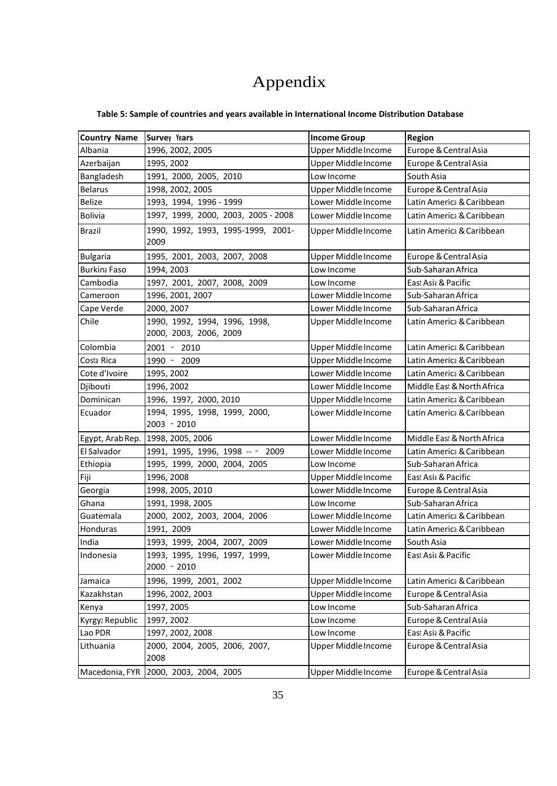# Appendix

| <b>Country Name</b> | <b>Survey Years</b>                                     | <b>Income Group</b> | <b>Region</b>              |
|---------------------|---------------------------------------------------------|---------------------|----------------------------|
| Albania             | 1996, 2002, 2005                                        | Upper Middle Income | Europe & Central Asia      |
| Azerbaijan          | 1995, 2002                                              | Upper Middle Income | Europe & Central Asia      |
| Bangladesh          | 1991, 2000, 2005, 2010                                  | Low Income          | South Asia                 |
| <b>Belarus</b>      | 1998, 2002, 2005                                        | Upper Middle Income | Europe & Central Asia      |
| Belize              | 1993, 1994, 1996 - 1999                                 | Lower Middle Income | Latin America & Caribbean  |
| <b>Bolivia</b>      | 1997, 1999, 2000, 2003, 2005 - 2008                     | Lower Middle Income | Latin America & Caribbean  |
| <b>Brazil</b>       | 1990, 1992, 1993, 1995-1999, 2001-<br>2009              | Upper Middle Income | Latin America & Caribbean  |
| <b>Bulgaria</b>     | 1995, 2001, 2003, 2007, 2008                            | Upper Middle Income | Europe & Central Asia      |
| <b>Burkina Faso</b> | 1994, 2003                                              | Low Income          | Sub-Saharan Africa         |
| Cambodia            | 1997, 2001, 2007, 2008, 2009                            | Low Income          | East Asia & Pacific        |
| Cameroon            | 1996, 2001, 2007                                        | Lower Middle Income | Sub-Saharan Africa         |
| Cape Verde          | 2000, 2007                                              | Lower Middle Income | Sub-Saharan Africa         |
| Chile               | 1990, 1992, 1994, 1996, 1998,<br>2000, 2003, 2006, 2009 | Upper Middle Income | Latin America & Caribbean  |
| Colombia            | 2001 - 2010                                             | Upper Middle Income | Latin America & Caribbean  |
| Costa Rica          | 1990 - 2009                                             | Upper Middle Income | Latin America & Caribbean  |
| Cote d'Ivoire       | 1995, 2002                                              | Lower Middle Income | Latin America & Caribbean  |
| Djibouti            | 1996, 2002                                              | Lower Middle Income | Middle East & North Africa |
| Dominican           | 1996, 1997, 2000, 2010                                  | Upper Middle Income | Latin America & Caribbean  |
| Ecuador             | 1994, 1995, 1998, 1999, 2000,<br>2003 - 2010            | Lower Middle Income | Latin America & Caribbean  |
| Egypt, Arab Rep.    | 1998, 2005, 2006                                        | Lower Middle Income | Middle East & North Africa |
| El Salvador         | 1991, 1995, 1996, 1998 -- - 2009                        | Lower Middle Income | Latin America & Caribbean  |
| Ethiopia            | 1995, 1999, 2000, 2004, 2005                            | Low Income          | Sub-Saharan Africa         |
| Fiji                | 1996, 2008                                              | Upper Middle Income | East Asia & Pacific        |
| Georgia             | 1998, 2005, 2010                                        | Lower Middle Income | Europe & Central Asia      |
| Ghana               | 1991, 1998, 2005                                        | Low Income          | Sub-Saharan Africa         |
| Guatemala           | 2000, 2002, 2003, 2004, 2006                            | Lower Middle Income | Latin America & Caribbean  |
| Honduras            | 1991, 2009                                              | Lower Middle Income | Latin America & Caribbean  |
| India               | 1993, 1999, 2004, 2007, 2009                            | Lower Middle Income | South Asia                 |
| Indonesia           | 1993, 1995, 1996, 1997, 1999,<br>2000 - 2010            | Lower Middle Income | East Asia & Pacific        |
| Jamaica             | 1996, 1999, 2001, 2002                                  | Upper Middle Income | Latin America & Caribbean  |
| Kazakhstan          | 1996, 2002, 2003                                        | Upper Middle Income | Europe & Central Asia      |
| Kenya               | 1997, 2005                                              | Low Income          | Sub-Saharan Africa         |
| Kyrgyz Republic     | 1997, 2002                                              | Low Income          | Europe & Central Asia      |
| Lao PDR             | 1997, 2002, 2008                                        | Low Income          | East Asia & Pacific        |
| Lithuania           | 2000, 2004, 2005, 2006, 2007,<br>2008                   | Upper Middle Income | Europe & Central Asia      |
| Macedonia, FYR      | 2000, 2003, 2004, 2005                                  | Upper Middle Income | Europe & Central Asia      |

### **Table 5: Sample of countries and years available in International Income Distribution Database**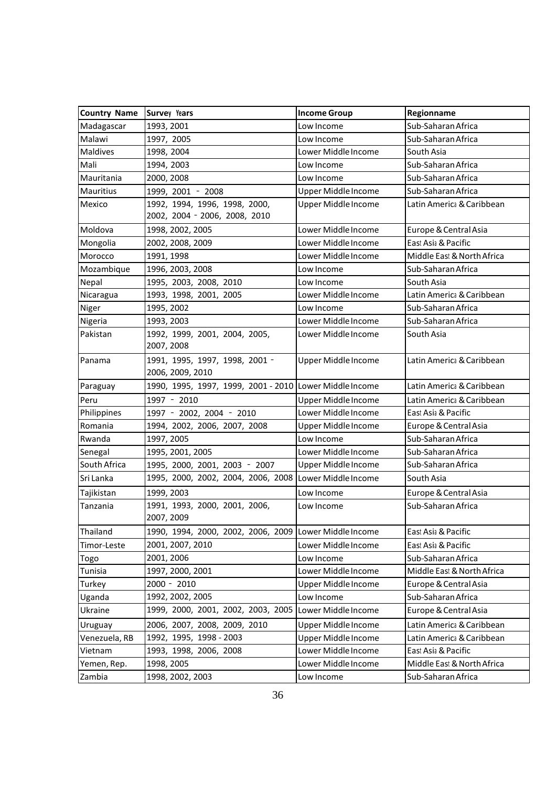| <b>Country Name</b> | Survey Years                                                   | <b>Income Group</b> | Regionname                 |
|---------------------|----------------------------------------------------------------|---------------------|----------------------------|
| Madagascar          | 1993, 2001                                                     | Low Income          | Sub-Saharan Africa         |
| Malawi              | 1997, 2005                                                     | Low Income          | Sub-Saharan Africa         |
| Maldives            | 1998, 2004                                                     | Lower Middle Income | South Asia                 |
| Mali                | 1994, 2003                                                     | Low Income          | Sub-Saharan Africa         |
| Mauritania          | 2000, 2008                                                     | Low Income          | Sub-Saharan Africa         |
| Mauritius           | 1999, 2001 - 2008                                              | Upper Middle Income | Sub-Saharan Africa         |
| Mexico              | 1992, 1994, 1996, 1998, 2000,<br>2002, 2004 - 2006, 2008, 2010 | Upper Middle Income | Latin America & Caribbean  |
| Moldova             | 1998, 2002, 2005                                               | Lower Middle Income | Europe & Central Asia      |
| Mongolia            | 2002, 2008, 2009                                               | Lower Middle Income | East Asia & Pacific        |
| Morocco             | 1991, 1998                                                     | Lower Middle Income | Middle East & North Africa |
| Mozambique          | 1996, 2003, 2008                                               | Low Income          | Sub-Saharan Africa         |
| Nepal               | 1995, 2003, 2008, 2010                                         | Low Income          | South Asia                 |
| Nicaragua           | 1993, 1998, 2001, 2005                                         | Lower Middle Income | Latin America & Caribbean  |
| Niger               | 1995, 2002                                                     | Low Income          | Sub-Saharan Africa         |
| Nigeria             | 1993, 2003                                                     | Lower Middle Income | Sub-Saharan Africa         |
| Pakistan            | 1992, 1999, 2001, 2004, 2005,<br>2007, 2008                    | Lower Middle Income | South Asia                 |
| Panama              | 1991, 1995, 1997, 1998, 2001 -<br>2006, 2009, 2010             | Upper Middle Income | Latin America & Caribbean  |
| Paraguay            | 1990, 1995, 1997, 1999, 2001 - 2010 Lower Middle Income        |                     | Latin America & Caribbean  |
| Peru                | 1997 - 2010                                                    | Upper Middle Income | Latin America & Caribbean  |
| Philippines         | 1997 - 2002, 2004 - 2010                                       | Lower Middle Income | East Asia & Pacific        |
| Romania             | 1994, 2002, 2006, 2007, 2008                                   | Upper Middle Income | Europe & Central Asia      |
| Rwanda              | 1997, 2005                                                     | Low Income          | Sub-Saharan Africa         |
| Senegal             | 1995, 2001, 2005                                               | Lower Middle Income | Sub-Saharan Africa         |
| South Africa        | 1995, 2000, 2001, 2003 - 2007                                  | Upper Middle Income | Sub-Saharan Africa         |
| Sri Lanka           | 1995, 2000, 2002, 2004, 2006, 2008                             | Lower Middle Income | South Asia                 |
| Tajikistan          | 1999, 2003                                                     | Low Income          | Europe & Central Asia      |
| Tanzania            | 1991, 1993, 2000, 2001, 2006,<br>2007, 2009                    | Low Income          | Sub-Saharan Africa         |
| Thailand            | 1990, 1994, 2000, 2002, 2006, 2009 Lower Middle Income         |                     | East Asia & Pacific        |
| Timor-Leste         | 2001, 2007, 2010                                               | Lower Middle Income | East Asia & Pacific        |
| Togo                | 2001, 2006                                                     | Low Income          | Sub-Saharan Africa         |
| Tunisia             | 1997, 2000, 2001                                               | Lower Middle Income | Middle East & North Africa |
| Turkey              | $2000 - 2010$                                                  | Upper Middle Income | Europe & Central Asia      |
| Uganda              | 1992, 2002, 2005                                               | Low Income          | Sub-Saharan Africa         |
| Ukraine             | 1999, 2000, 2001, 2002, 2003, 2005                             | Lower Middle Income | Europe & Central Asia      |
| Uruguay             | 2006, 2007, 2008, 2009, 2010                                   | Upper Middle Income | Latin America & Caribbean  |
| Venezuela, RB       | 1992, 1995, 1998 - 2003                                        | Upper Middle Income | Latin America & Caribbean  |
| Vietnam             | 1993, 1998, 2006, 2008                                         | Lower Middle Income | East Asia & Pacific        |
| Yemen, Rep.         | 1998, 2005                                                     | Lower Middle Income | Middle East & North Africa |
| Zambia              | 1998, 2002, 2003                                               | Low Income          | Sub-Saharan Africa         |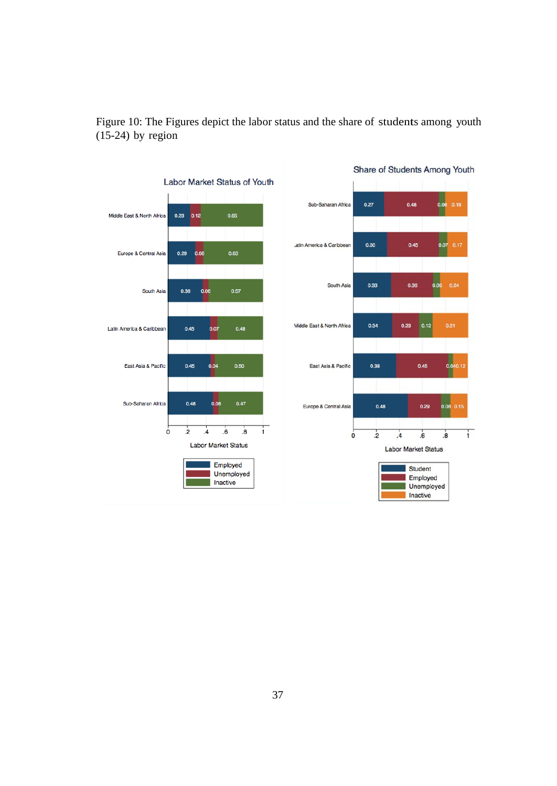

Figure 10: The Figures depict the labor status and the share of students among youth  $(15-24)$  by region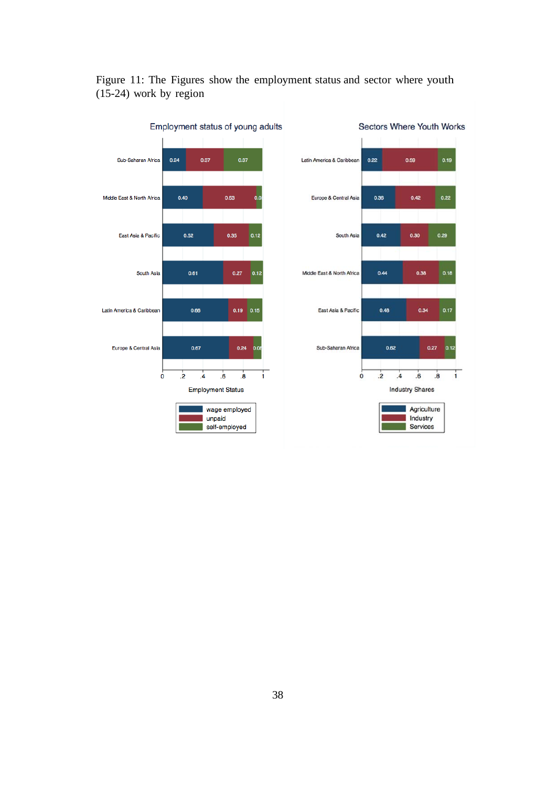

### Figure 11: The Figures show the employment status and sector where youth (15-24) work by region